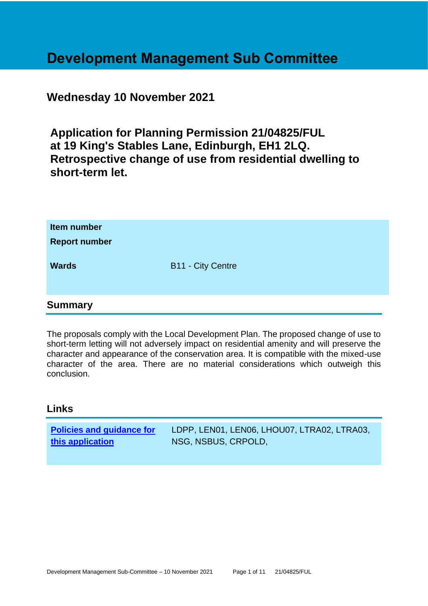# **Development Management Sub Committee**

# **Wednesday 10 November 2021**

**Application for Planning Permission 21/04825/FUL at 19 King's Stables Lane, Edinburgh, EH1 2LQ. Retrospective change of use from residential dwelling to short-term let.**

| Item number<br><b>Report number</b> |                          |
|-------------------------------------|--------------------------|
| <b>Wards</b>                        | <b>B11 - City Centre</b> |
| <b>Summary</b>                      |                          |

The proposals comply with the Local Development Plan. The proposed change of use to short-term letting will not adversely impact on residential amenity and will preserve the character and appearance of the conservation area. It is compatible with the mixed-use character of the area. There are no material considerations which outweigh this conclusion.

# **Links**

| <b>Policies and guidance for</b> | LDPP, LEN01, LEN06, LHOU07, LTRA02, LTRA03, |
|----------------------------------|---------------------------------------------|
| this application                 | NSG, NSBUS, CRPOLD,                         |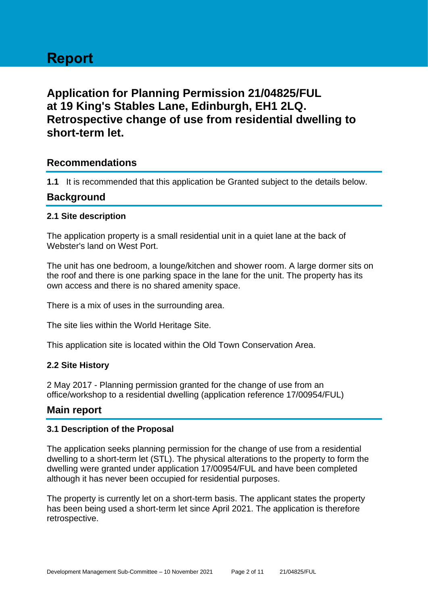# **Report**

# **Application for Planning Permission 21/04825/FUL at 19 King's Stables Lane, Edinburgh, EH1 2LQ. Retrospective change of use from residential dwelling to short-term let.**

# **Recommendations**

**1.1** It is recommended that this application be Granted subject to the details below.

# **Background**

#### **2.1 Site description**

The application property is a small residential unit in a quiet lane at the back of Webster's land on West Port.

The unit has one bedroom, a lounge/kitchen and shower room. A large dormer sits on the roof and there is one parking space in the lane for the unit. The property has its own access and there is no shared amenity space.

There is a mix of uses in the surrounding area.

The site lies within the World Heritage Site.

This application site is located within the Old Town Conservation Area.

#### **2.2 Site History**

2 May 2017 - Planning permission granted for the change of use from an office/workshop to a residential dwelling (application reference 17/00954/FUL)

# **Main report**

#### **3.1 Description of the Proposal**

The application seeks planning permission for the change of use from a residential dwelling to a short-term let (STL). The physical alterations to the property to form the dwelling were granted under application 17/00954/FUL and have been completed although it has never been occupied for residential purposes.

The property is currently let on a short-term basis. The applicant states the property has been being used a short-term let since April 2021. The application is therefore retrospective.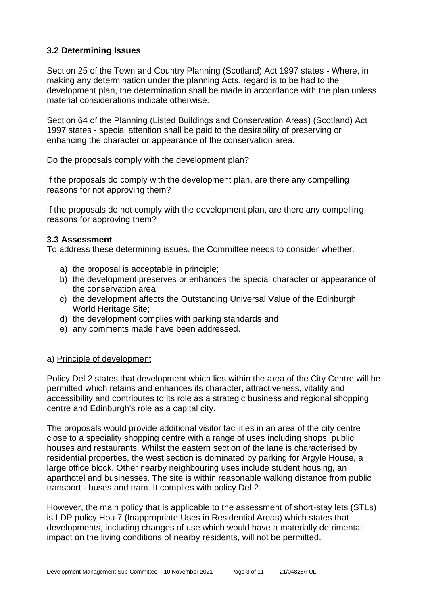# **3.2 Determining Issues**

Section 25 of the Town and Country Planning (Scotland) Act 1997 states - Where, in making any determination under the planning Acts, regard is to be had to the development plan, the determination shall be made in accordance with the plan unless material considerations indicate otherwise.

Section 64 of the Planning (Listed Buildings and Conservation Areas) (Scotland) Act 1997 states - special attention shall be paid to the desirability of preserving or enhancing the character or appearance of the conservation area.

Do the proposals comply with the development plan?

If the proposals do comply with the development plan, are there any compelling reasons for not approving them?

If the proposals do not comply with the development plan, are there any compelling reasons for approving them?

#### **3.3 Assessment**

To address these determining issues, the Committee needs to consider whether:

- a) the proposal is acceptable in principle;
- b) the development preserves or enhances the special character or appearance of the conservation area;
- c) the development affects the Outstanding Universal Value of the Edinburgh World Heritage Site;
- d) the development complies with parking standards and
- e) any comments made have been addressed.

#### a) Principle of development

Policy Del 2 states that development which lies within the area of the City Centre will be permitted which retains and enhances its character, attractiveness, vitality and accessibility and contributes to its role as a strategic business and regional shopping centre and Edinburgh's role as a capital city.

The proposals would provide additional visitor facilities in an area of the city centre close to a speciality shopping centre with a range of uses including shops, public houses and restaurants. Whilst the eastern section of the lane is characterised by residential properties, the west section is dominated by parking for Argyle House, a large office block. Other nearby neighbouring uses include student housing, an aparthotel and businesses. The site is within reasonable walking distance from public transport - buses and tram. It complies with policy Del 2.

However, the main policy that is applicable to the assessment of short-stay lets (STLs) is LDP policy Hou 7 (Inappropriate Uses in Residential Areas) which states that developments, including changes of use which would have a materially detrimental impact on the living conditions of nearby residents, will not be permitted.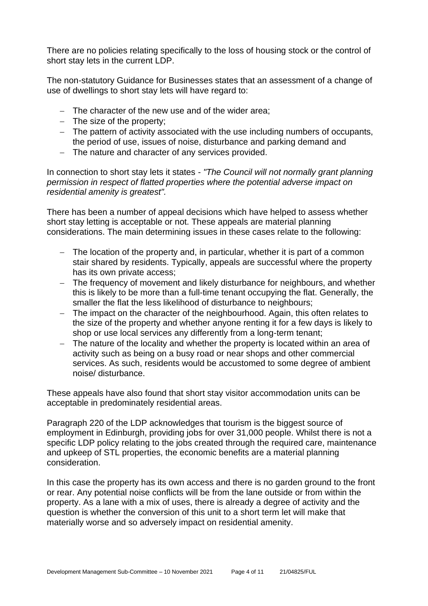There are no policies relating specifically to the loss of housing stock or the control of short stay lets in the current LDP.

The non-statutory Guidance for Businesses states that an assessment of a change of use of dwellings to short stay lets will have regard to:

- − The character of the new use and of the wider area;
- − The size of the property;
- − The pattern of activity associated with the use including numbers of occupants, the period of use, issues of noise, disturbance and parking demand and
- − The nature and character of any services provided.

In connection to short stay lets it states - *"The Council will not normally grant planning permission in respect of flatted properties where the potential adverse impact on residential amenity is greatest".*

There has been a number of appeal decisions which have helped to assess whether short stay letting is acceptable or not. These appeals are material planning considerations. The main determining issues in these cases relate to the following:

- − The location of the property and, in particular, whether it is part of a common stair shared by residents. Typically, appeals are successful where the property has its own private access;
- The frequency of movement and likely disturbance for neighbours, and whether this is likely to be more than a full-time tenant occupying the flat. Generally, the smaller the flat the less likelihood of disturbance to neighbours;
- − The impact on the character of the neighbourhood. Again, this often relates to the size of the property and whether anyone renting it for a few days is likely to shop or use local services any differently from a long-term tenant;
- − The nature of the locality and whether the property is located within an area of activity such as being on a busy road or near shops and other commercial services. As such, residents would be accustomed to some degree of ambient noise/ disturbance.

These appeals have also found that short stay visitor accommodation units can be acceptable in predominately residential areas.

Paragraph 220 of the LDP acknowledges that tourism is the biggest source of employment in Edinburgh, providing jobs for over 31,000 people. Whilst there is not a specific LDP policy relating to the jobs created through the required care, maintenance and upkeep of STL properties, the economic benefits are a material planning consideration.

In this case the property has its own access and there is no garden ground to the front or rear. Any potential noise conflicts will be from the lane outside or from within the property. As a lane with a mix of uses, there is already a degree of activity and the question is whether the conversion of this unit to a short term let will make that materially worse and so adversely impact on residential amenity.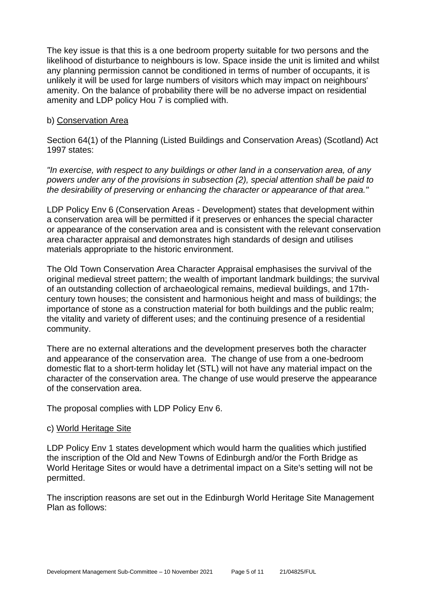The key issue is that this is a one bedroom property suitable for two persons and the likelihood of disturbance to neighbours is low. Space inside the unit is limited and whilst any planning permission cannot be conditioned in terms of number of occupants, it is unlikely it will be used for large numbers of visitors which may impact on neighbours' amenity. On the balance of probability there will be no adverse impact on residential amenity and LDP policy Hou 7 is complied with.

#### b) Conservation Area

Section 64(1) of the Planning (Listed Buildings and Conservation Areas) (Scotland) Act 1997 states:

*"In exercise, with respect to any buildings or other land in a conservation area, of any powers under any of the provisions in subsection (2), special attention shall be paid to the desirability of preserving or enhancing the character or appearance of that area."*

LDP Policy Env 6 (Conservation Areas - Development) states that development within a conservation area will be permitted if it preserves or enhances the special character or appearance of the conservation area and is consistent with the relevant conservation area character appraisal and demonstrates high standards of design and utilises materials appropriate to the historic environment.

The Old Town Conservation Area Character Appraisal emphasises the survival of the original medieval street pattern; the wealth of important landmark buildings; the survival of an outstanding collection of archaeological remains, medieval buildings, and 17thcentury town houses; the consistent and harmonious height and mass of buildings; the importance of stone as a construction material for both buildings and the public realm; the vitality and variety of different uses; and the continuing presence of a residential community.

There are no external alterations and the development preserves both the character and appearance of the conservation area. The change of use from a one-bedroom domestic flat to a short-term holiday let (STL) will not have any material impact on the character of the conservation area. The change of use would preserve the appearance of the conservation area.

The proposal complies with LDP Policy Env 6.

#### c) World Heritage Site

LDP Policy Env 1 states development which would harm the qualities which justified the inscription of the Old and New Towns of Edinburgh and/or the Forth Bridge as World Heritage Sites or would have a detrimental impact on a Site's setting will not be permitted.

The inscription reasons are set out in the Edinburgh World Heritage Site Management Plan as follows: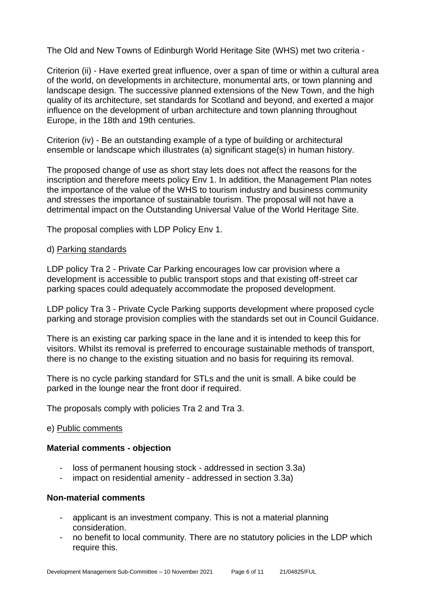The Old and New Towns of Edinburgh World Heritage Site (WHS) met two criteria -

Criterion (ii) - Have exerted great influence, over a span of time or within a cultural area of the world, on developments in architecture, monumental arts, or town planning and landscape design. The successive planned extensions of the New Town, and the high quality of its architecture, set standards for Scotland and beyond, and exerted a major influence on the development of urban architecture and town planning throughout Europe, in the 18th and 19th centuries.

Criterion (iv) - Be an outstanding example of a type of building or architectural ensemble or landscape which illustrates (a) significant stage(s) in human history.

The proposed change of use as short stay lets does not affect the reasons for the inscription and therefore meets policy Env 1. In addition, the Management Plan notes the importance of the value of the WHS to tourism industry and business community and stresses the importance of sustainable tourism. The proposal will not have a detrimental impact on the Outstanding Universal Value of the World Heritage Site.

The proposal complies with LDP Policy Env 1.

#### d) Parking standards

LDP policy Tra 2 - Private Car Parking encourages low car provision where a development is accessible to public transport stops and that existing off-street car parking spaces could adequately accommodate the proposed development.

LDP policy Tra 3 - Private Cycle Parking supports development where proposed cycle parking and storage provision complies with the standards set out in Council Guidance.

There is an existing car parking space in the lane and it is intended to keep this for visitors. Whilst its removal is preferred to encourage sustainable methods of transport, there is no change to the existing situation and no basis for requiring its removal.

There is no cycle parking standard for STLs and the unit is small. A bike could be parked in the lounge near the front door if required.

The proposals comply with policies Tra 2 and Tra 3.

#### e) Public comments

#### **Material comments - objection**

- loss of permanent housing stock addressed in section 3.3a)
- impact on residential amenity addressed in section 3.3a)

#### **Non-material comments**

- applicant is an investment company. This is not a material planning consideration.
- no benefit to local community. There are no statutory policies in the LDP which require this.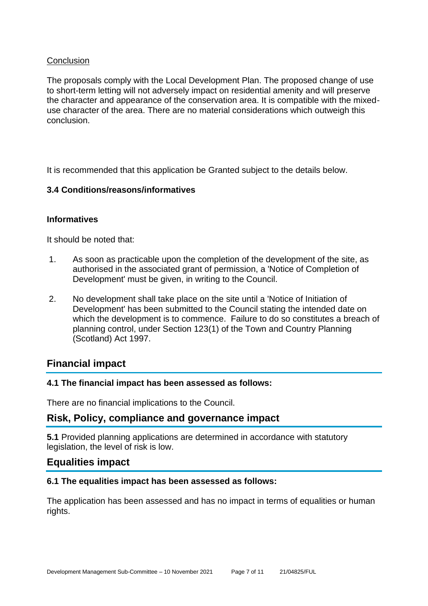#### **Conclusion**

The proposals comply with the Local Development Plan. The proposed change of use to short-term letting will not adversely impact on residential amenity and will preserve the character and appearance of the conservation area. It is compatible with the mixeduse character of the area. There are no material considerations which outweigh this conclusion.

It is recommended that this application be Granted subject to the details below.

#### **3.4 Conditions/reasons/informatives**

#### **Informatives**

It should be noted that:

- 1. As soon as practicable upon the completion of the development of the site, as authorised in the associated grant of permission, a 'Notice of Completion of Development' must be given, in writing to the Council.
- 2. No development shall take place on the site until a 'Notice of Initiation of Development' has been submitted to the Council stating the intended date on which the development is to commence. Failure to do so constitutes a breach of planning control, under Section 123(1) of the Town and Country Planning (Scotland) Act 1997.

# **Financial impact**

#### **4.1 The financial impact has been assessed as follows:**

There are no financial implications to the Council.

# **Risk, Policy, compliance and governance impact**

**5.1** Provided planning applications are determined in accordance with statutory legislation, the level of risk is low.

# **Equalities impact**

#### **6.1 The equalities impact has been assessed as follows:**

The application has been assessed and has no impact in terms of equalities or human rights.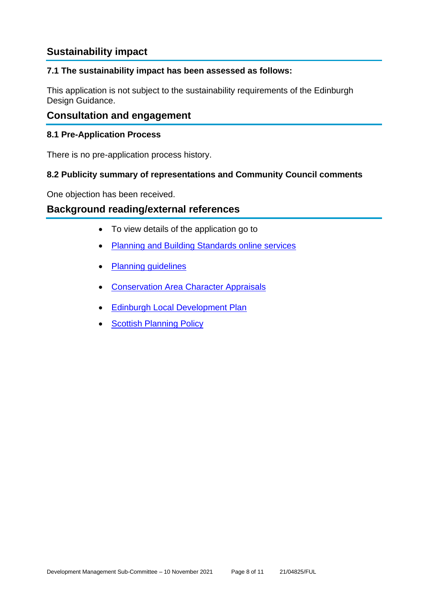# **Sustainability impact**

#### **7.1 The sustainability impact has been assessed as follows:**

This application is not subject to the sustainability requirements of the Edinburgh Design Guidance.

# **Consultation and engagement**

#### **8.1 Pre-Application Process**

There is no pre-application process history.

#### **8.2 Publicity summary of representations and Community Council comments**

One objection has been received.

# **Background reading/external references**

- To view details of the application go to
- [Planning and Building Standards online services](https://citydev-portal.edinburgh.gov.uk/idoxpa-web/search.do?action=simple&searchType=Application)
- [Planning guidelines](http://www.edinburgh.gov.uk/planningguidelines)
- [Conservation Area Character Appraisals](http://www.edinburgh.gov.uk/characterappraisals)
- **[Edinburgh Local Development Plan](http://www.edinburgh.gov.uk/localdevelopmentplan)**
- **[Scottish Planning Policy](http://www.scotland.gov.uk/Topics/Built-Environment/planning/Policy)**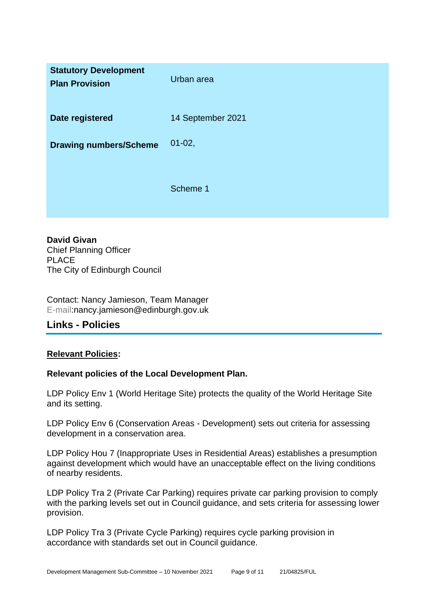| <b>Statutory Development</b><br><b>Plan Provision</b> | Urban area        |
|-------------------------------------------------------|-------------------|
| Date registered                                       | 14 September 2021 |
| <b>Drawing numbers/Scheme</b>                         | $01-02,$          |
|                                                       | Scheme 1          |

**David Givan** Chief Planning Officer PLACE The City of Edinburgh Council

Contact: Nancy Jamieson, Team Manager E-mail:nancy.jamieson@edinburgh.gov.uk

# **Links - Policies**

#### **Relevant Policies:**

#### **Relevant policies of the Local Development Plan.**

LDP Policy Env 1 (World Heritage Site) protects the quality of the World Heritage Site and its setting.

LDP Policy Env 6 (Conservation Areas - Development) sets out criteria for assessing development in a conservation area.

LDP Policy Hou 7 (Inappropriate Uses in Residential Areas) establishes a presumption against development which would have an unacceptable effect on the living conditions of nearby residents.

LDP Policy Tra 2 (Private Car Parking) requires private car parking provision to comply with the parking levels set out in Council guidance, and sets criteria for assessing lower provision.

LDP Policy Tra 3 (Private Cycle Parking) requires cycle parking provision in accordance with standards set out in Council guidance.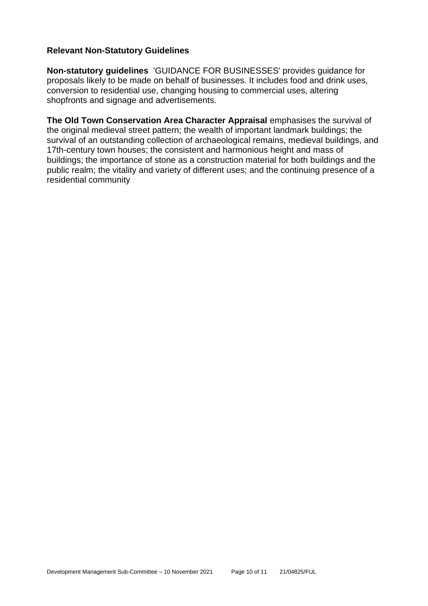#### **Relevant Non-Statutory Guidelines**

**Non-statutory guidelines** 'GUIDANCE FOR BUSINESSES' provides guidance for proposals likely to be made on behalf of businesses. It includes food and drink uses, conversion to residential use, changing housing to commercial uses, altering shopfronts and signage and advertisements.

**The Old Town Conservation Area Character Appraisal** emphasises the survival of the original medieval street pattern; the wealth of important landmark buildings; the survival of an outstanding collection of archaeological remains, medieval buildings, and 17th-century town houses; the consistent and harmonious height and mass of buildings; the importance of stone as a construction material for both buildings and the public realm; the vitality and variety of different uses; and the continuing presence of a residential community